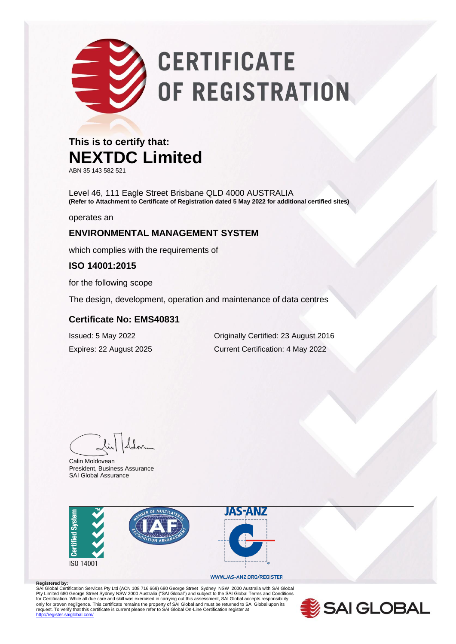# **CERTIFICATE** OF REGISTRATION

### **This is to certify that: NEXTDC Limited**

ABN 35 143 582 521

Level 46, 111 Eagle Street Brisbane QLD 4000 AUSTRALIA **(Refer to Attachment to Certificate of Registration dated 5 May 2022 for additional certified sites)**

operates an

### **ENVIRONMENTAL MANAGEMENT SYSTEM**

which complies with the requirements of

#### **ISO 14001:2015**

for the following scope

The design, development, operation and maintenance of data centres

#### **Certificate No: EMS40831**

Issued: 5 May 2022 Originally Certified: 23 August 2016 Expires: 22 August 2025 Current Certification: 4 May 2022

Calin Moldovean President, Business Assurance SAI Global Assurance



#### WWW.JAS-ANZ.ORG/REGISTER

**Registered by:**<br>SAI Global Certification Services Pty Ltd (ACN 108 716 669) 680 George Street Sydney NSW 2000 Australia with SAI Global Pty Limited 680 George Street Sydney NSW 2000 Australia ("SAI Global") and subject to the SAI Global Terms and Conditions<br>for Certification. While all due care and skill was exercised in carrying out this assessment, SAI G .<br>http://register.com/

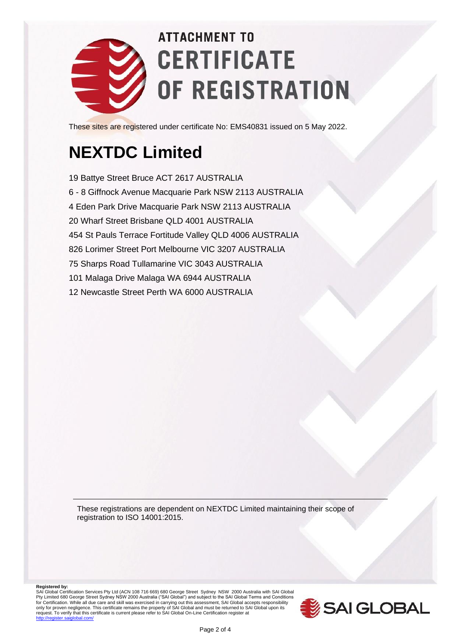

## **ATTACHMENT TO CERTIFICATE** OF REGISTRATION

These sites are registered under certificate No: EMS40831 issued on 5 May 2022.

## **NEXTDC Limited**

19 Battye Street Bruce ACT 2617 AUSTRALIA 6 - 8 Giffnock Avenue Macquarie Park NSW 2113 AUSTRALIA 4 Eden Park Drive Macquarie Park NSW 2113 AUSTRALIA 20 Wharf Street Brisbane QLD 4001 AUSTRALIA 454 St Pauls Terrace Fortitude Valley QLD 4006 AUSTRALIA 826 Lorimer Street Port Melbourne VIC 3207 AUSTRALIA 75 Sharps Road Tullamarine VIC 3043 AUSTRALIA 101 Malaga Drive Malaga WA 6944 AUSTRALIA 12 Newcastle Street Perth WA 6000 AUSTRALIA

These registrations are dependent on NEXTDC Limited maintaining their scope of registration to ISO 14001:2015.

**Registered by:**<br>SAI Global Certification Services Pty Ltd (ACN 108 716 669) 680 George Street Sydney NSW 2000 Australia with SAI Global<br>Pty Limited 680 George Street Sydney NSW 2000 Australia ("SAI Global") and subject for Certification. While all due care and skill was exercised in carrying out this assessment, SAI Global accepts responsibility<br>only for proven negligence. This certificate remains the property of SAI Global and must be r

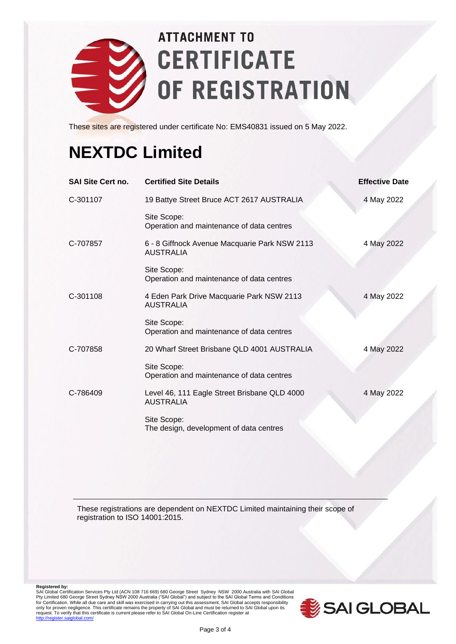

## **ATTACHMENT TO CERTIFICATE** OF REGISTRATION

These sites are registered under certificate No: EMS40831 issued on 5 May 2022.

### **NEXTDC Limited**

| <b>SAI Site Cert no.</b> | <b>Certified Site Details</b>                                     | <b>Effective Date</b> |
|--------------------------|-------------------------------------------------------------------|-----------------------|
| C-301107                 | 19 Battye Street Bruce ACT 2617 AUSTRALIA                         | 4 May 2022            |
|                          | Site Scope:<br>Operation and maintenance of data centres          |                       |
| C-707857                 | 6 - 8 Giffnock Avenue Macquarie Park NSW 2113<br><b>AUSTRALIA</b> | 4 May 2022            |
|                          | Site Scope:<br>Operation and maintenance of data centres          |                       |
| C-301108                 | 4 Eden Park Drive Macquarie Park NSW 2113<br><b>AUSTRALIA</b>     | 4 May 2022            |
|                          | Site Scope:<br>Operation and maintenance of data centres          |                       |
| C-707858                 | 20 Wharf Street Brisbane QLD 4001 AUSTRALIA                       | 4 May 2022            |
|                          | Site Scope:<br>Operation and maintenance of data centres          |                       |
| C-786409                 | Level 46, 111 Eagle Street Brisbane QLD 4000<br><b>AUSTRALIA</b>  | 4 May 2022            |
|                          | Site Scope:<br>The design, development of data centres            |                       |

These registrations are dependent on NEXTDC Limited maintaining their scope of registration to ISO 14001:2015.

Registered by:<br>SAI Global Certification Services Pty Ltd (ACN 108 716 669) 680 George Street Sydney NSW 2000 Australia with SAI Global<br>Pty Limited 680 George Street Sydney NSW 2000 Australia ("SAI Global") and subject to t